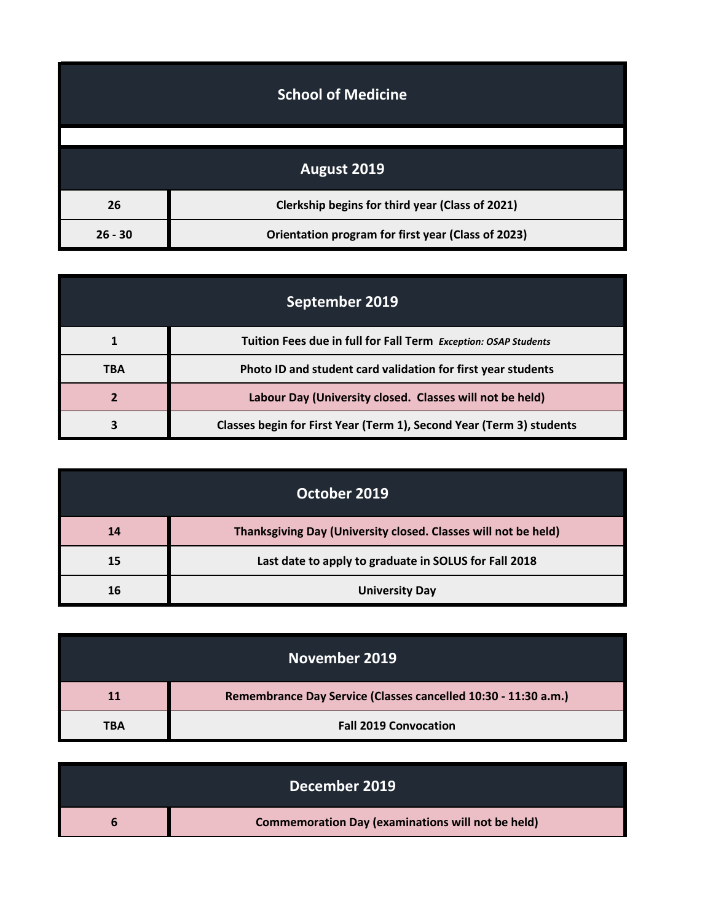|           | <b>School of Medicine</b>                          |
|-----------|----------------------------------------------------|
|           |                                                    |
|           | August 2019                                        |
| 26        | Clerkship begins for third year (Class of 2021)    |
| $26 - 30$ | Orientation program for first year (Class of 2023) |

| September 2019 |                                                                      |
|----------------|----------------------------------------------------------------------|
|                | Tuition Fees due in full for Fall Term Exception: OSAP Students      |
| <b>TBA</b>     | Photo ID and student card validation for first year students         |
|                | Labour Day (University closed. Classes will not be held)             |
|                | Classes begin for First Year (Term 1), Second Year (Term 3) students |

|    | October 2019                                                   |
|----|----------------------------------------------------------------|
| 14 | Thanksgiving Day (University closed. Classes will not be held) |
| 15 | Last date to apply to graduate in SOLUS for Fall 2018          |
| 16 | <b>University Day</b>                                          |

| November 2019 |                                                                |
|---------------|----------------------------------------------------------------|
| 11            | Remembrance Day Service (Classes cancelled 10:30 - 11:30 a.m.) |
| TBA           | <b>Fall 2019 Convocation</b>                                   |

| December 2019                                            |
|----------------------------------------------------------|
| <b>Commemoration Day (examinations will not be held)</b> |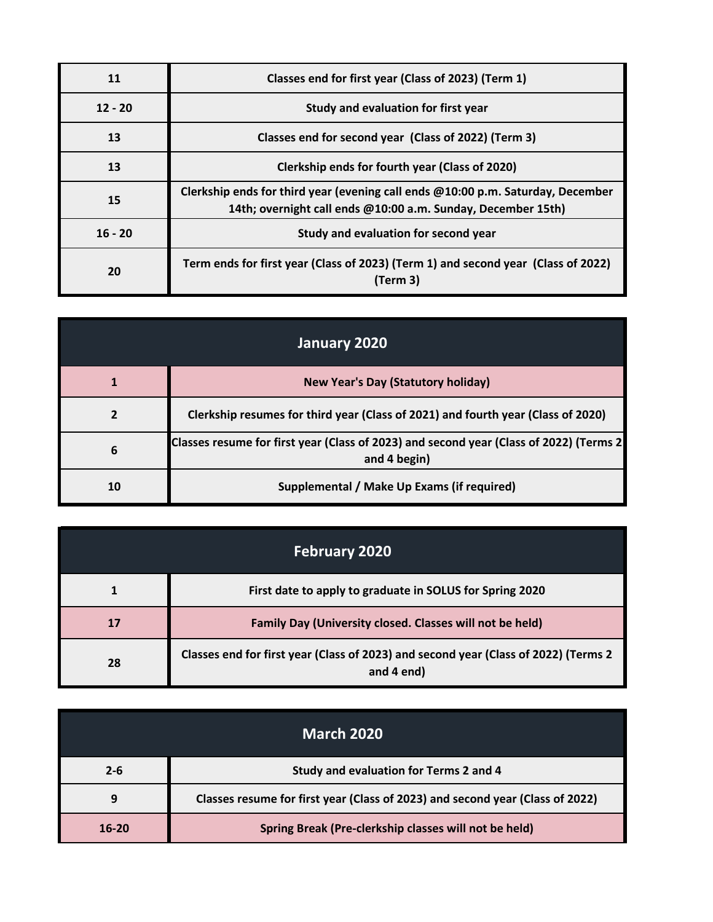| 11        | Classes end for first year (Class of 2023) (Term 1)                                                                                             |
|-----------|-------------------------------------------------------------------------------------------------------------------------------------------------|
| $12 - 20$ | Study and evaluation for first year                                                                                                             |
| 13        | Classes end for second year (Class of 2022) (Term 3)                                                                                            |
| 13        | Clerkship ends for fourth year (Class of 2020)                                                                                                  |
| 15        | Clerkship ends for third year (evening call ends @10:00 p.m. Saturday, December<br>14th; overnight call ends @10:00 a.m. Sunday, December 15th) |
| $16 - 20$ | Study and evaluation for second year                                                                                                            |
| 20        | Term ends for first year (Class of 2023) (Term 1) and second year (Class of 2022)<br>(Term 3)                                                   |

| January 2020 |                                                                                                         |
|--------------|---------------------------------------------------------------------------------------------------------|
|              | <b>New Year's Day (Statutory holiday)</b>                                                               |
|              | Clerkship resumes for third year (Class of 2021) and fourth year (Class of 2020)                        |
| 6            | Classes resume for first year (Class of 2023) and second year (Class of 2022) (Terms 2)<br>and 4 begin) |
| 10           | Supplemental / Make Up Exams (if required)                                                              |

| <b>February 2020</b> |                                                                                                   |
|----------------------|---------------------------------------------------------------------------------------------------|
|                      | First date to apply to graduate in SOLUS for Spring 2020                                          |
|                      | Family Day (University closed. Classes will not be held)                                          |
| 28                   | Classes end for first year (Class of 2023) and second year (Class of 2022) (Terms 2<br>and 4 end) |

| <b>March 2020</b> |                                                                               |
|-------------------|-------------------------------------------------------------------------------|
|                   |                                                                               |
| $2 - 6$           | Study and evaluation for Terms 2 and 4                                        |
| 9                 | Classes resume for first year (Class of 2023) and second year (Class of 2022) |
| $16 - 20$         | Spring Break (Pre-clerkship classes will not be held)                         |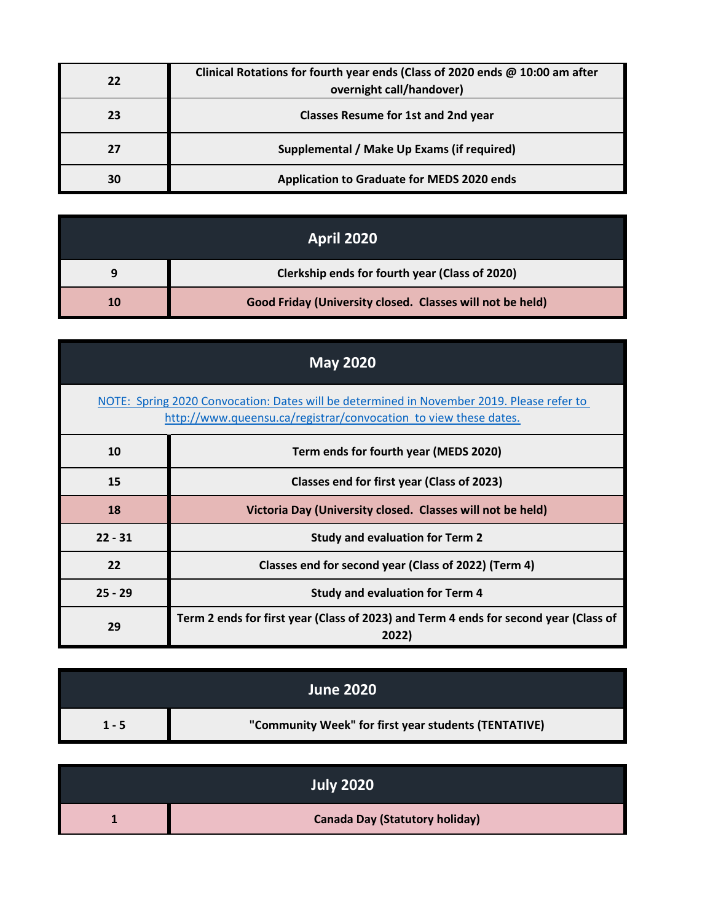| 22 | Clinical Rotations for fourth year ends (Class of 2020 ends @ 10:00 am after<br>overnight call/handover) |
|----|----------------------------------------------------------------------------------------------------------|
| 23 | <b>Classes Resume for 1st and 2nd year</b>                                                               |
|    | Supplemental / Make Up Exams (if required)                                                               |
| 30 | <b>Application to Graduate for MEDS 2020 ends</b>                                                        |

| <b>April 2020</b> |                                                           |
|-------------------|-----------------------------------------------------------|
|                   | Clerkship ends for fourth year (Class of 2020)            |
| 10                | Good Friday (University closed. Classes will not be held) |

| <b>May 2020</b>                                                                                                                                               |                                                                                               |
|---------------------------------------------------------------------------------------------------------------------------------------------------------------|-----------------------------------------------------------------------------------------------|
| NOTE: Spring 2020 Convocation: Dates will be determined in November 2019. Please refer to<br>http://www.queensu.ca/registrar/convocation to view these dates. |                                                                                               |
| 10                                                                                                                                                            | Term ends for fourth year (MEDS 2020)                                                         |
| 15                                                                                                                                                            | Classes end for first year (Class of 2023)                                                    |
| 18                                                                                                                                                            | Victoria Day (University closed. Classes will not be held)                                    |
| $22 - 31$                                                                                                                                                     | <b>Study and evaluation for Term 2</b>                                                        |
| 22                                                                                                                                                            | Classes end for second year (Class of 2022) (Term 4)                                          |
| $25 - 29$                                                                                                                                                     | <b>Study and evaluation for Term 4</b>                                                        |
| 29                                                                                                                                                            | Term 2 ends for first year (Class of 2023) and Term 4 ends for second year (Class of<br>2022) |

|         | <b>June 2020</b>                                     |
|---------|------------------------------------------------------|
| $1 - 5$ | "Community Week" for first year students (TENTATIVE) |

| <b>July 2020</b>                      |
|---------------------------------------|
| <b>Canada Day (Statutory holiday)</b> |